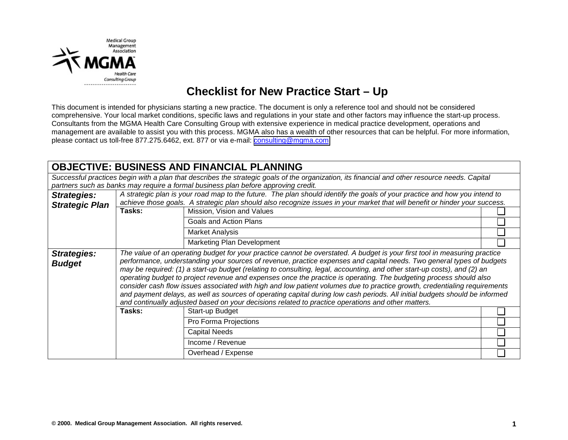

## **Checklist for New Practice Start – Up**

This document is intended for physicians starting a new practice. The document is only a reference tool and should not be considered comprehensive. Your local market conditions, specific laws and regulations in your state and other factors may influence the start-up process. Consultants from the MGMA Health Care Consulting Group with extensive experience in medical practice development, operations and management are available to assist you with this process. MGMA also has a wealth of other resources that can be helpful. For more information, please contact us toll-free 877.275.6462, ext. 877 or via e-mail: [consulting@mgma.com.](mailto:consulting@mgma.com)

## **OBJECTIVE: BUSINESS AND FINANCIAL PLANNING**

*Successful practices begin with a plan that describes the strategic goals of the organization, its financial and other resource needs. Capital partners such as banks may require a formal business plan before approving credit.*

| <b>Strategies:</b><br><b>Strategic Plan</b> | A strategic plan is your road map to the future. The plan should identify the goals of your practice and how you intend to<br>achieve those goals. A strategic plan should also recognize issues in your market that will benefit or hinder your success.                                                                                                                                                                                                                                                                                                                                                                                                                                                                                                                                                                                                               |                            |  |  |  |
|---------------------------------------------|-------------------------------------------------------------------------------------------------------------------------------------------------------------------------------------------------------------------------------------------------------------------------------------------------------------------------------------------------------------------------------------------------------------------------------------------------------------------------------------------------------------------------------------------------------------------------------------------------------------------------------------------------------------------------------------------------------------------------------------------------------------------------------------------------------------------------------------------------------------------------|----------------------------|--|--|--|
|                                             | Tasks:                                                                                                                                                                                                                                                                                                                                                                                                                                                                                                                                                                                                                                                                                                                                                                                                                                                                  | Mission, Vision and Values |  |  |  |
|                                             |                                                                                                                                                                                                                                                                                                                                                                                                                                                                                                                                                                                                                                                                                                                                                                                                                                                                         | Goals and Action Plans     |  |  |  |
|                                             |                                                                                                                                                                                                                                                                                                                                                                                                                                                                                                                                                                                                                                                                                                                                                                                                                                                                         | <b>Market Analysis</b>     |  |  |  |
|                                             |                                                                                                                                                                                                                                                                                                                                                                                                                                                                                                                                                                                                                                                                                                                                                                                                                                                                         | Marketing Plan Development |  |  |  |
| Strategies:<br><b>Budget</b>                | The value of an operating budget for your practice cannot be overstated. A budget is your first tool in measuring practice<br>performance, understanding your sources of revenue, practice expenses and capital needs. Two general types of budgets<br>may be required: (1) a start-up budget (relating to consulting, legal, accounting, and other start-up costs), and (2) an<br>operating budget to project revenue and expenses once the practice is operating. The budgeting process should also<br>consider cash flow issues associated with high and low patient volumes due to practice growth, credentialing requirements<br>and payment delays, as well as sources of operating capital during low cash periods. All initial budgets should be informed<br>and continually adjusted based on your decisions related to practice operations and other matters. |                            |  |  |  |
|                                             | Tasks:                                                                                                                                                                                                                                                                                                                                                                                                                                                                                                                                                                                                                                                                                                                                                                                                                                                                  | Start-up Budget            |  |  |  |
|                                             |                                                                                                                                                                                                                                                                                                                                                                                                                                                                                                                                                                                                                                                                                                                                                                                                                                                                         | Pro Forma Projections      |  |  |  |
|                                             |                                                                                                                                                                                                                                                                                                                                                                                                                                                                                                                                                                                                                                                                                                                                                                                                                                                                         | <b>Capital Needs</b>       |  |  |  |
|                                             |                                                                                                                                                                                                                                                                                                                                                                                                                                                                                                                                                                                                                                                                                                                                                                                                                                                                         | Income / Revenue           |  |  |  |
|                                             |                                                                                                                                                                                                                                                                                                                                                                                                                                                                                                                                                                                                                                                                                                                                                                                                                                                                         | Overhead / Expense         |  |  |  |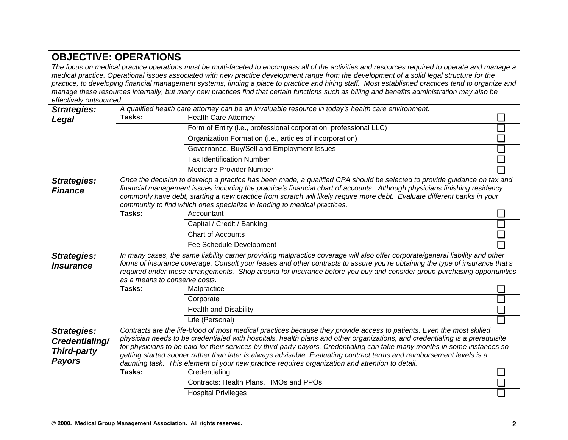## **OBJECTIVE: OPERATIONS**

*The focus on medical practice operations must be multi-faceted to encompass all of the activities and resources required to operate and manage a medical practice. Operational issues associated with new practice development range from the development of a solid legal structure for the practice, to developing financial management systems, finding a place to practice and hiring staff. Most established practices tend to organize and manage these resources internally, but many new practices find that certain functions such as billing and benefits administration may also be effectively outsourced.*

| <b>Strategies:</b>                                                          |                                                                                                                                                                                                                                                                                                                                                                                                                                                                                                                                                                                                                  | A qualified health care attorney can be an invaluable resource in today's health care environment. |                          |  |  |
|-----------------------------------------------------------------------------|------------------------------------------------------------------------------------------------------------------------------------------------------------------------------------------------------------------------------------------------------------------------------------------------------------------------------------------------------------------------------------------------------------------------------------------------------------------------------------------------------------------------------------------------------------------------------------------------------------------|----------------------------------------------------------------------------------------------------|--------------------------|--|--|
| Legal                                                                       | Tasks:                                                                                                                                                                                                                                                                                                                                                                                                                                                                                                                                                                                                           | <b>Health Care Attorney</b>                                                                        | $\overline{\phantom{a}}$ |  |  |
|                                                                             |                                                                                                                                                                                                                                                                                                                                                                                                                                                                                                                                                                                                                  | Form of Entity (i.e., professional corporation, professional LLC)                                  | ❏                        |  |  |
|                                                                             |                                                                                                                                                                                                                                                                                                                                                                                                                                                                                                                                                                                                                  | Organization Formation (i.e., articles of incorporation)                                           | ℶ                        |  |  |
|                                                                             |                                                                                                                                                                                                                                                                                                                                                                                                                                                                                                                                                                                                                  | Governance, Buy/Sell and Employment Issues                                                         | $\Box$                   |  |  |
|                                                                             |                                                                                                                                                                                                                                                                                                                                                                                                                                                                                                                                                                                                                  | <b>Tax Identification Number</b>                                                                   | $\Box$                   |  |  |
|                                                                             |                                                                                                                                                                                                                                                                                                                                                                                                                                                                                                                                                                                                                  | Medicare Provider Number                                                                           | $\Box$                   |  |  |
| <b>Strategies:</b><br><b>Finance</b>                                        | Once the decision to develop a practice has been made, a qualified CPA should be selected to provide guidance on tax and<br>financial management issues including the practice's financial chart of accounts. Although physicians finishing residency<br>commonly have debt, starting a new practice from scratch will likely require more debt. Evaluate different banks in your<br>community to find which ones specialize in lending to medical practices.                                                                                                                                                    |                                                                                                    |                          |  |  |
|                                                                             | Tasks:                                                                                                                                                                                                                                                                                                                                                                                                                                                                                                                                                                                                           | Accountant                                                                                         |                          |  |  |
|                                                                             |                                                                                                                                                                                                                                                                                                                                                                                                                                                                                                                                                                                                                  | Capital / Credit / Banking                                                                         | $\Box$                   |  |  |
|                                                                             |                                                                                                                                                                                                                                                                                                                                                                                                                                                                                                                                                                                                                  | <b>Chart of Accounts</b>                                                                           | ⊐                        |  |  |
|                                                                             |                                                                                                                                                                                                                                                                                                                                                                                                                                                                                                                                                                                                                  | Fee Schedule Development                                                                           |                          |  |  |
| <b>Strategies:</b><br><b>Insurance</b>                                      | In many cases, the same liability carrier providing malpractice coverage will also offer corporate/general liability and other<br>forms of insurance coverage. Consult your leases and other contracts to assure you're obtaining the type of insurance that's<br>required under these arrangements. Shop around for insurance before you buy and consider group-purchasing opportunities<br>as a means to conserve costs.                                                                                                                                                                                       |                                                                                                    |                          |  |  |
|                                                                             | Tasks:                                                                                                                                                                                                                                                                                                                                                                                                                                                                                                                                                                                                           | Malpractice                                                                                        | ❏                        |  |  |
|                                                                             |                                                                                                                                                                                                                                                                                                                                                                                                                                                                                                                                                                                                                  | Corporate                                                                                          | $\Box$                   |  |  |
|                                                                             |                                                                                                                                                                                                                                                                                                                                                                                                                                                                                                                                                                                                                  | <b>Health and Disability</b>                                                                       | ❏                        |  |  |
|                                                                             |                                                                                                                                                                                                                                                                                                                                                                                                                                                                                                                                                                                                                  | Life (Personal)                                                                                    | $\overline{\square}$     |  |  |
| <b>Strategies:</b><br>Credentialing/<br><b>Third-party</b><br><b>Payors</b> | Contracts are the life-blood of most medical practices because they provide access to patients. Even the most skilled<br>physician needs to be credentialed with hospitals, health plans and other organizations, and credentialing is a prerequisite<br>for physicians to be paid for their services by third-party payors. Credentialing can take many months in some instances so<br>getting started sooner rather than later is always advisable. Evaluating contract terms and reimbursement levels is a<br>daunting task. This element of your new practice requires organization and attention to detail. |                                                                                                    |                          |  |  |
|                                                                             | Tasks:                                                                                                                                                                                                                                                                                                                                                                                                                                                                                                                                                                                                           | Credentialing                                                                                      | $\Box$                   |  |  |
|                                                                             |                                                                                                                                                                                                                                                                                                                                                                                                                                                                                                                                                                                                                  | Contracts: Health Plans, HMOs and PPOs                                                             | $\Box$                   |  |  |
|                                                                             |                                                                                                                                                                                                                                                                                                                                                                                                                                                                                                                                                                                                                  | <b>Hospital Privileges</b>                                                                         | ┒                        |  |  |